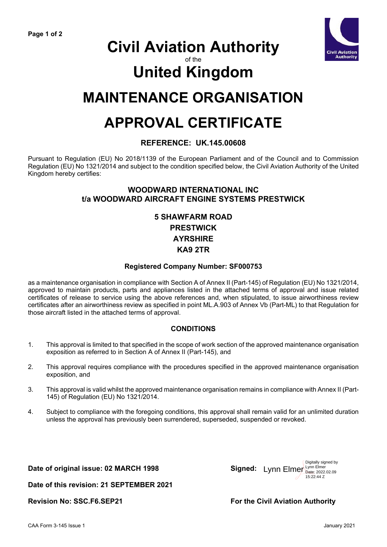

## **Civil Aviation Authority**

of the

# **United Kingdom**

## **MAINTENANCE ORGANISATION**

## **APPROVAL CERTIFICATE**

### **REFERENCE: UK.145.00608**

Pursuant to Regulation (EU) No 2018/1139 of the European Parliament and of the Council and to Commission Regulation (EU) No 1321/2014 and subject to the condition specified below, the Civil Aviation Authority of the United Kingdom hereby certifies:

#### **WOODWARD INTERNATIONAL INC t/a WOODWARD AIRCRAFT ENGINE SYSTEMS PRESTWICK**

## **5 SHAWFARM ROAD PRESTWICK AYRSHIRE KA9 2TR**

#### **Registered Company Number: SF000753**

as a maintenance organisation in compliance with Section A of Annex II (Part-145) of Regulation (EU) No 1321/2014, approved to maintain products, parts and appliances listed in the attached terms of approval and issue related certificates of release to service using the above references and, when stipulated, to issue airworthiness review certificates after an airworthiness review as specified in point ML.A.903 of Annex Vb (Part-ML) to that Regulation for those aircraft listed in the attached terms of approval.

### **CONDITIONS**

- 1. This approval is limited to that specified in the scope of work section of the approved maintenance organisation exposition as referred to in Section A of Annex II (Part-145), and
- 2. This approval requires compliance with the procedures specified in the approved maintenance organisation exposition, and
- 3. This approval is valid whilst the approved maintenance organisation remains in compliance with Annex II (Part-145) of Regulation (EU) No 1321/2014.
- 4. Subject to compliance with the foregoing conditions, this approval shall remain valid for an unlimited duration unless the approval has previously been surrendered, superseded, suspended or revoked.

**Date of original issue: 02 MARCH 1998** 



**Date of this revision: 21 SEPTEMBER 2021**

**Revision No: SSC.F6.SEP21 For the Civil Aviation Authority**